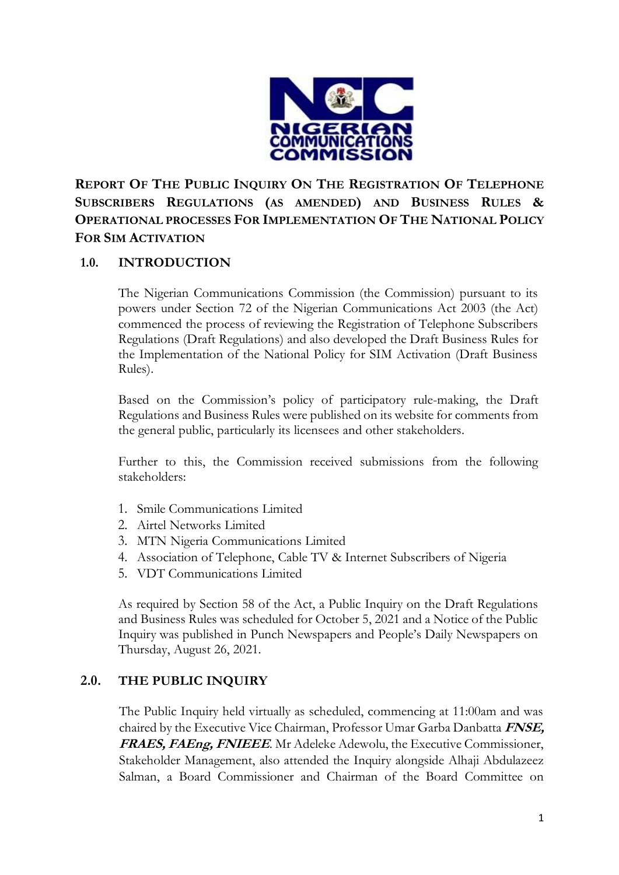

**REPORT OF THE PUBLIC INQUIRY ON THE REGISTRATION OF TELEPHONE SUBSCRIBERS REGULATIONS (AS AMENDED) AND BUSINESS RULES & OPERATIONAL PROCESSES FOR IMPLEMENTATION OF THE NATIONAL POLICY FOR SIM ACTIVATION**

# **1.0. INTRODUCTION**

The Nigerian Communications Commission (the Commission) pursuant to its powers under Section 72 of the Nigerian Communications Act 2003 (the Act) commenced the process of reviewing the Registration of Telephone Subscribers Regulations (Draft Regulations) and also developed the Draft Business Rules for the Implementation of the National Policy for SIM Activation (Draft Business Rules).

Based on the Commission's policy of participatory rule-making, the Draft Regulations and Business Rules were published on its website for comments from the general public, particularly its licensees and other stakeholders.

Further to this, the Commission received submissions from the following stakeholders:

- 1. Smile Communications Limited
- 2. Airtel Networks Limited
- 3. MTN Nigeria Communications Limited
- 4. Association of Telephone, Cable TV & Internet Subscribers of Nigeria
- 5. VDT Communications Limited

As required by Section 58 of the Act, a Public Inquiry on the Draft Regulations and Business Rules was scheduled for October 5, 2021 and a Notice of the Public Inquiry was published in Punch Newspapers and People's Daily Newspapers on Thursday, August 26, 2021.

### **2.0. THE PUBLIC INQUIRY**

The Public Inquiry held virtually as scheduled, commencing at 11:00am and was chaired by the Executive Vice Chairman, Professor Umar Garba Danbatta **FNSE, FRAES, FAEng, FNIEEE**. Mr Adeleke Adewolu, the Executive Commissioner, Stakeholder Management, also attended the Inquiry alongside Alhaji Abdulazeez Salman, a Board Commissioner and Chairman of the Board Committee on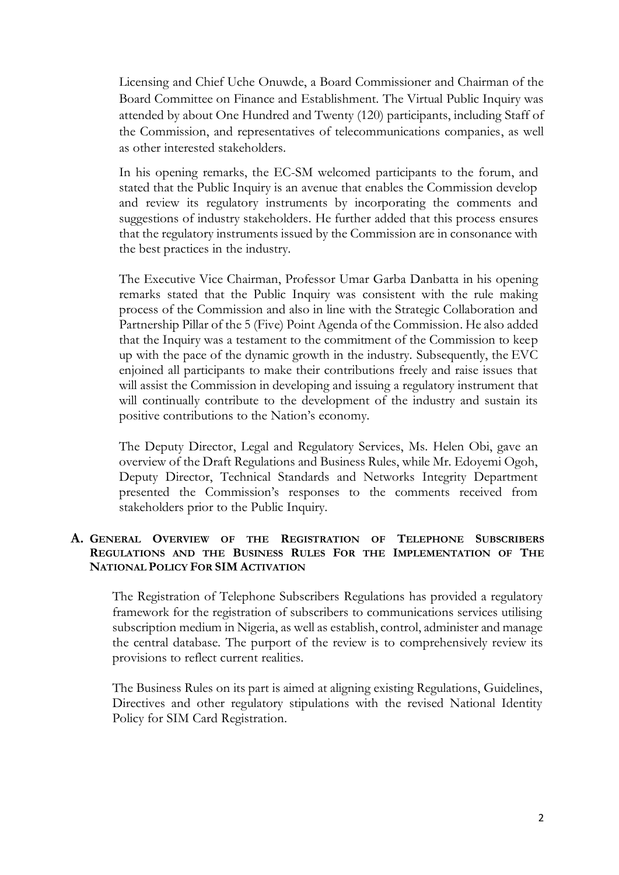Licensing and Chief Uche Onuwde, a Board Commissioner and Chairman of the Board Committee on Finance and Establishment. The Virtual Public Inquiry was attended by about One Hundred and Twenty (120) participants, including Staff of the Commission, and representatives of telecommunications companies, as well as other interested stakeholders.

In his opening remarks, the EC-SM welcomed participants to the forum, and stated that the Public Inquiry is an avenue that enables the Commission develop and review its regulatory instruments by incorporating the comments and suggestions of industry stakeholders. He further added that this process ensures that the regulatory instruments issued by the Commission are in consonance with the best practices in the industry.

The Executive Vice Chairman, Professor Umar Garba Danbatta in his opening remarks stated that the Public Inquiry was consistent with the rule making process of the Commission and also in line with the Strategic Collaboration and Partnership Pillar of the 5 (Five) Point Agenda of the Commission. He also added that the Inquiry was a testament to the commitment of the Commission to keep up with the pace of the dynamic growth in the industry. Subsequently, the EVC enjoined all participants to make their contributions freely and raise issues that will assist the Commission in developing and issuing a regulatory instrument that will continually contribute to the development of the industry and sustain its positive contributions to the Nation's economy.

The Deputy Director, Legal and Regulatory Services, Ms. Helen Obi, gave an overview of the Draft Regulations and Business Rules, while Mr. Edoyemi Ogoh, Deputy Director, Technical Standards and Networks Integrity Department presented the Commission's responses to the comments received from stakeholders prior to the Public Inquiry.

### **A. GENERAL OVERVIEW OF THE REGISTRATION OF TELEPHONE SUBSCRIBERS REGULATIONS AND THE BUSINESS RULES FOR THE IMPLEMENTATION OF THE NATIONAL POLICY FOR SIM ACTIVATION**

The Registration of Telephone Subscribers Regulations has provided a regulatory framework for the registration of subscribers to communications services utilising subscription medium in Nigeria, as well as establish, control, administer and manage the central database. The purport of the review is to comprehensively review its provisions to reflect current realities.

The Business Rules on its part is aimed at aligning existing Regulations, Guidelines, Directives and other regulatory stipulations with the revised National Identity Policy for SIM Card Registration.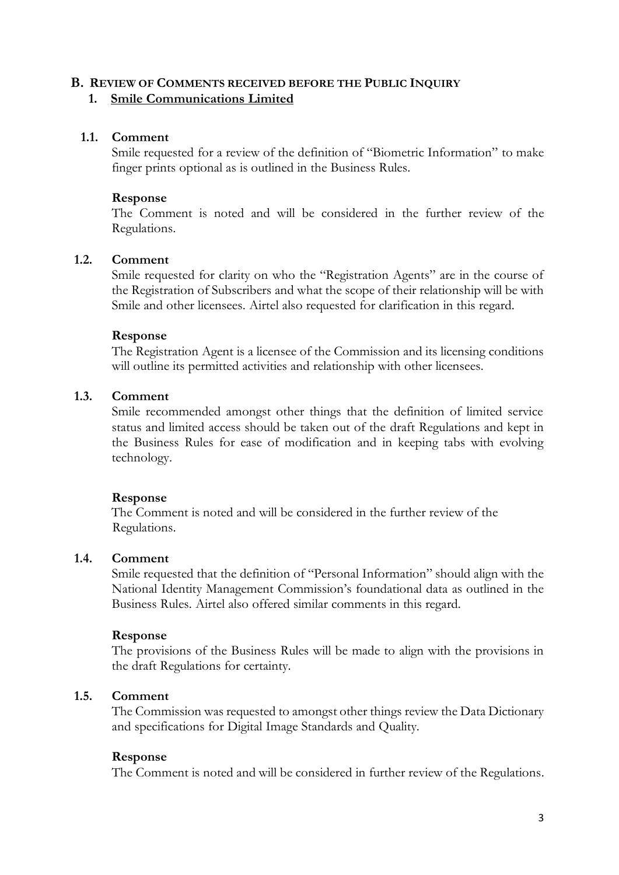### **B. REVIEW OF COMMENTS RECEIVED BEFORE THE PUBLIC INQUIRY**

### **1. Smile Communications Limited**

### **1.1. Comment**

Smile requested for a review of the definition of "Biometric Information" to make finger prints optional as is outlined in the Business Rules.

### **Response**

The Comment is noted and will be considered in the further review of the Regulations.

### **1.2. Comment**

Smile requested for clarity on who the "Registration Agents" are in the course of the Registration of Subscribers and what the scope of their relationship will be with Smile and other licensees. Airtel also requested for clarification in this regard.

### **Response**

The Registration Agent is a licensee of the Commission and its licensing conditions will outline its permitted activities and relationship with other licensees.

### **1.3. Comment**

Smile recommended amongst other things that the definition of limited service status and limited access should be taken out of the draft Regulations and kept in the Business Rules for ease of modification and in keeping tabs with evolving technology.

### **Response**

 The Comment is noted and will be considered in the further review of the Regulations.

### **1.4. Comment**

Smile requested that the definition of "Personal Information" should align with the National Identity Management Commission's foundational data as outlined in the Business Rules. Airtel also offered similar comments in this regard.

### **Response**

The provisions of the Business Rules will be made to align with the provisions in the draft Regulations for certainty.

# **1.5. Comment**

The Commission was requested to amongst other things review the Data Dictionary and specifications for Digital Image Standards and Quality.

### **Response**

The Comment is noted and will be considered in further review of the Regulations.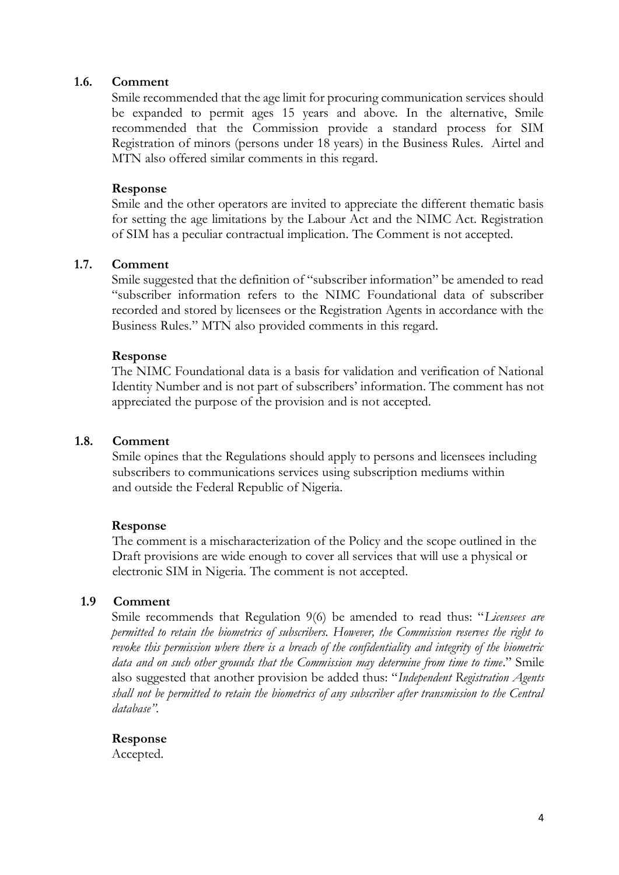#### **1.6. Comment**

Smile recommended that the age limit for procuring communication services should be expanded to permit ages 15 years and above. In the alternative, Smile recommended that the Commission provide a standard process for SIM Registration of minors (persons under 18 years) in the Business Rules. Airtel and MTN also offered similar comments in this regard.

#### **Response**

Smile and the other operators are invited to appreciate the different thematic basis for setting the age limitations by the Labour Act and the NIMC Act. Registration of SIM has a peculiar contractual implication. The Comment is not accepted.

#### **1.7. Comment**

Smile suggested that the definition of "subscriber information" be amended to read "subscriber information refers to the NIMC Foundational data of subscriber recorded and stored by licensees or the Registration Agents in accordance with the Business Rules." MTN also provided comments in this regard.

#### **Response**

The NIMC Foundational data is a basis for validation and verification of National Identity Number and is not part of subscribers' information. The comment has not appreciated the purpose of the provision and is not accepted.

#### **1.8. Comment**

Smile opines that the Regulations should apply to persons and licensees including subscribers to communications services using subscription mediums within and outside the Federal Republic of Nigeria.

#### **Response**

The comment is a mischaracterization of the Policy and the scope outlined in the Draft provisions are wide enough to cover all services that will use a physical or electronic SIM in Nigeria. The comment is not accepted.

### **1.9 Comment**

Smile recommends that Regulation 9(6) be amended to read thus: "*Licensees are permitted to retain the biometrics of subscribers. However, the Commission reserves the right to revoke this permission where there is a breach of the confidentiality and integrity of the biometric data and on such other grounds that the Commission may determine from time to time*." Smile also suggested that another provision be added thus: "*Independent Registration Agents shall not be permitted to retain the biometrics of any subscriber after transmission to the Central database".*

#### **Response**

Accepted.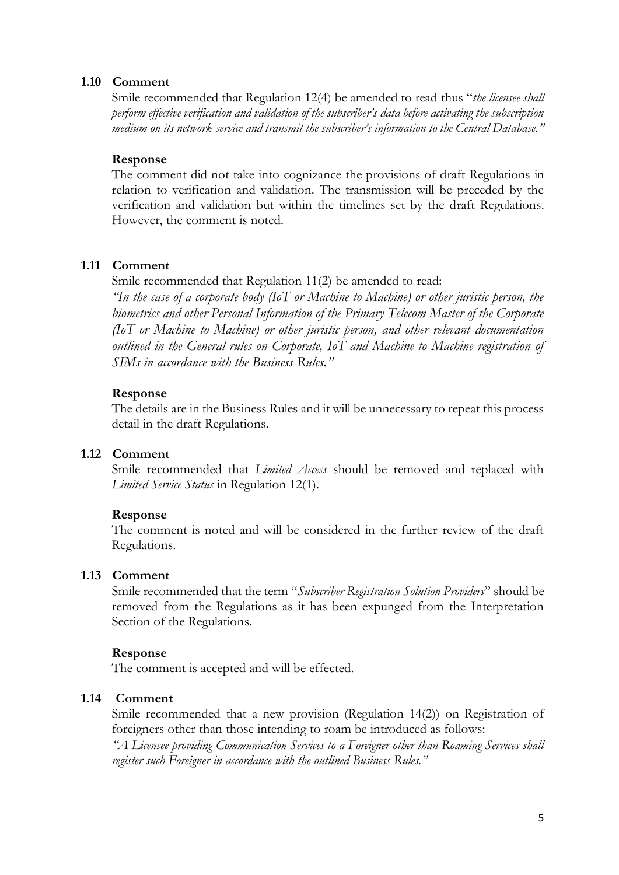#### **1.10 Comment**

Smile recommended that Regulation 12(4) be amended to read thus "*the licensee shall perform effective verification and validation of the subscriber's data before activating the subscription medium on its network service and transmit the subscriber's information to the Central Database."*

#### **Response**

The comment did not take into cognizance the provisions of draft Regulations in relation to verification and validation. The transmission will be preceded by the verification and validation but within the timelines set by the draft Regulations. However, the comment is noted.

### **1.11 Comment**

Smile recommended that Regulation 11(2) be amended to read:

*"In the case of a corporate body (IoT or Machine to Machine) or other juristic person, the biometrics and other Personal Information of the Primary Telecom Master of the Corporate (IoT or Machine to Machine) or other juristic person, and other relevant documentation outlined in the General rules on Corporate, IoT and Machine to Machine registration of SIMs in accordance with the Business Rules."*

#### **Response**

The details are in the Business Rules and it will be unnecessary to repeat this process detail in the draft Regulations.

#### **1.12 Comment**

Smile recommended that *Limited Access* should be removed and replaced with *Limited Service Status* in Regulation 12(1).

#### **Response**

The comment is noted and will be considered in the further review of the draft Regulations.

#### **1.13 Comment**

Smile recommended that the term "*Subscriber Registration Solution Providers*" should be removed from the Regulations as it has been expunged from the Interpretation Section of the Regulations.

#### **Response**

The comment is accepted and will be effected.

#### **1.14 Comment**

Smile recommended that a new provision (Regulation 14(2)) on Registration of foreigners other than those intending to roam be introduced as follows:

*"A Licensee providing Communication Services to a Foreigner other than Roaming Services shall register such Foreigner in accordance with the outlined Business Rules."*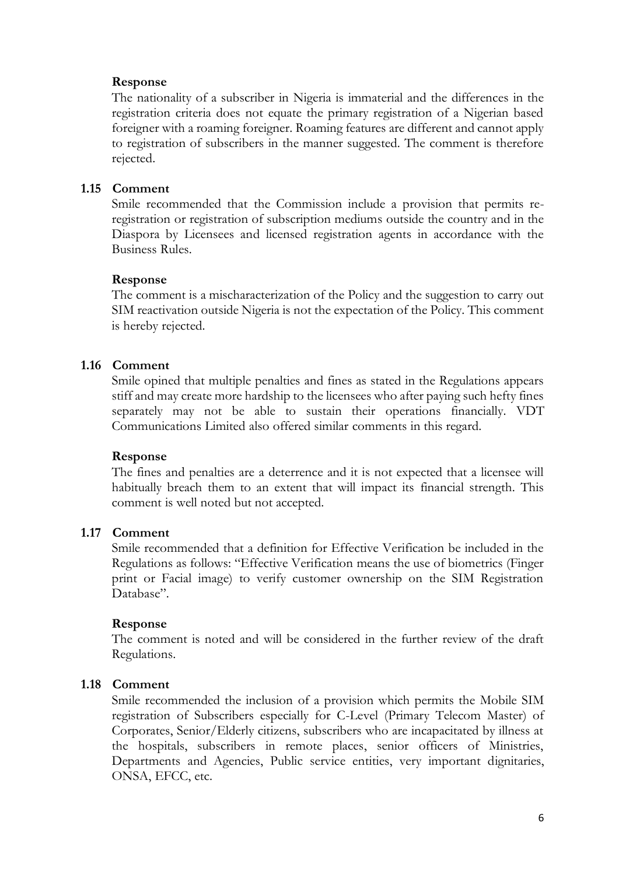The nationality of a subscriber in Nigeria is immaterial and the differences in the registration criteria does not equate the primary registration of a Nigerian based foreigner with a roaming foreigner. Roaming features are different and cannot apply to registration of subscribers in the manner suggested. The comment is therefore rejected.

#### **1.15 Comment**

Smile recommended that the Commission include a provision that permits reregistration or registration of subscription mediums outside the country and in the Diaspora by Licensees and licensed registration agents in accordance with the Business Rules.

#### **Response**

The comment is a mischaracterization of the Policy and the suggestion to carry out SIM reactivation outside Nigeria is not the expectation of the Policy. This comment is hereby rejected.

#### **1.16 Comment**

Smile opined that multiple penalties and fines as stated in the Regulations appears stiff and may create more hardship to the licensees who after paying such hefty fines separately may not be able to sustain their operations financially. VDT Communications Limited also offered similar comments in this regard.

#### **Response**

The fines and penalties are a deterrence and it is not expected that a licensee will habitually breach them to an extent that will impact its financial strength. This comment is well noted but not accepted.

#### **1.17 Comment**

Smile recommended that a definition for Effective Verification be included in the Regulations as follows: "Effective Verification means the use of biometrics (Finger print or Facial image) to verify customer ownership on the SIM Registration Database".

#### **Response**

The comment is noted and will be considered in the further review of the draft Regulations.

#### **1.18 Comment**

Smile recommended the inclusion of a provision which permits the Mobile SIM registration of Subscribers especially for C-Level (Primary Telecom Master) of Corporates, Senior/Elderly citizens, subscribers who are incapacitated by illness at the hospitals, subscribers in remote places, senior officers of Ministries, Departments and Agencies, Public service entities, very important dignitaries, ONSA, EFCC, etc.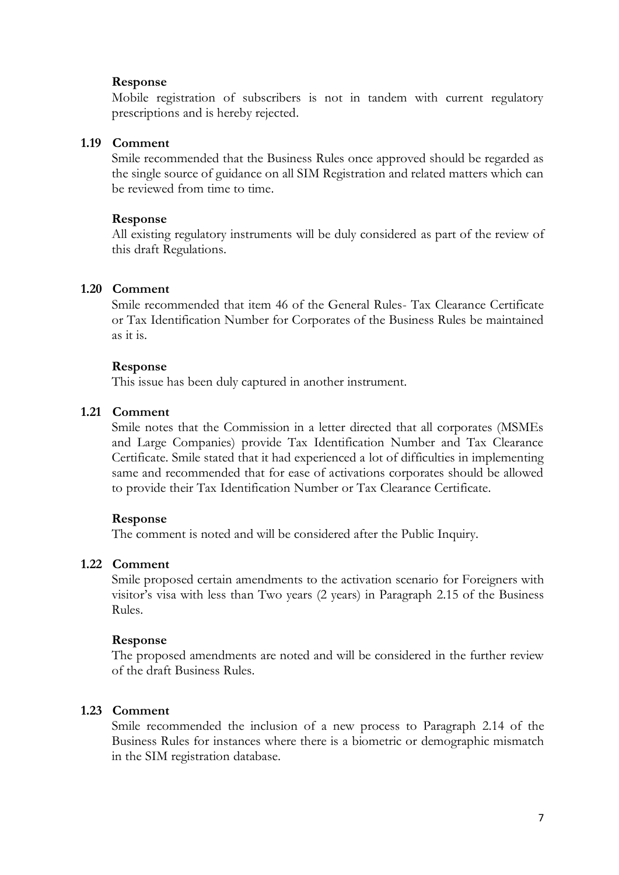Mobile registration of subscribers is not in tandem with current regulatory prescriptions and is hereby rejected.

#### **1.19 Comment**

Smile recommended that the Business Rules once approved should be regarded as the single source of guidance on all SIM Registration and related matters which can be reviewed from time to time.

#### **Response**

All existing regulatory instruments will be duly considered as part of the review of this draft Regulations.

#### **1.20 Comment**

Smile recommended that item 46 of the General Rules- Tax Clearance Certificate or Tax Identification Number for Corporates of the Business Rules be maintained as it is.

#### **Response**

This issue has been duly captured in another instrument.

#### **1.21 Comment**

Smile notes that the Commission in a letter directed that all corporates (MSMEs and Large Companies) provide Tax Identification Number and Tax Clearance Certificate. Smile stated that it had experienced a lot of difficulties in implementing same and recommended that for ease of activations corporates should be allowed to provide their Tax Identification Number or Tax Clearance Certificate.

#### **Response**

The comment is noted and will be considered after the Public Inquiry.

### **1.22 Comment**

Smile proposed certain amendments to the activation scenario for Foreigners with visitor's visa with less than Two years (2 years) in Paragraph 2.15 of the Business Rules.

#### **Response**

The proposed amendments are noted and will be considered in the further review of the draft Business Rules.

#### **1.23 Comment**

Smile recommended the inclusion of a new process to Paragraph 2.14 of the Business Rules for instances where there is a biometric or demographic mismatch in the SIM registration database.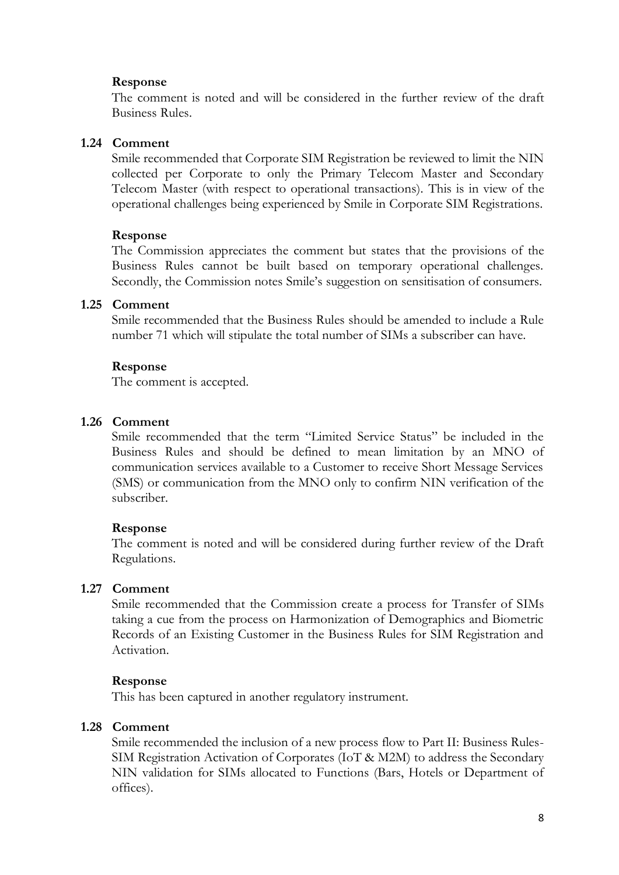The comment is noted and will be considered in the further review of the draft Business Rules.

#### **1.24 Comment**

Smile recommended that Corporate SIM Registration be reviewed to limit the NIN collected per Corporate to only the Primary Telecom Master and Secondary Telecom Master (with respect to operational transactions). This is in view of the operational challenges being experienced by Smile in Corporate SIM Registrations.

#### **Response**

The Commission appreciates the comment but states that the provisions of the Business Rules cannot be built based on temporary operational challenges. Secondly, the Commission notes Smile's suggestion on sensitisation of consumers.

#### **1.25 Comment**

Smile recommended that the Business Rules should be amended to include a Rule number 71 which will stipulate the total number of SIMs a subscriber can have.

#### **Response**

The comment is accepted.

#### **1.26 Comment**

Smile recommended that the term "Limited Service Status" be included in the Business Rules and should be defined to mean limitation by an MNO of communication services available to a Customer to receive Short Message Services (SMS) or communication from the MNO only to confirm NIN verification of the subscriber.

#### **Response**

The comment is noted and will be considered during further review of the Draft Regulations.

### **1.27 Comment**

Smile recommended that the Commission create a process for Transfer of SIMs taking a cue from the process on Harmonization of Demographics and Biometric Records of an Existing Customer in the Business Rules for SIM Registration and Activation.

#### **Response**

This has been captured in another regulatory instrument.

#### **1.28 Comment**

Smile recommended the inclusion of a new process flow to Part II: Business Rules-SIM Registration Activation of Corporates (IoT & M2M) to address the Secondary NIN validation for SIMs allocated to Functions (Bars, Hotels or Department of offices).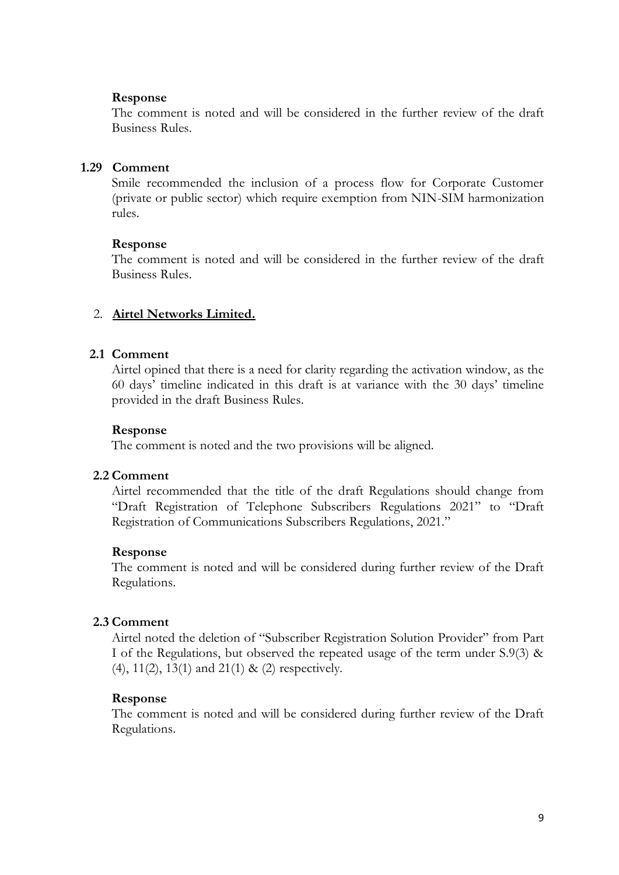The comment is noted and will be considered in the further review of the draft Business Rules.

#### **1.29 Comment**

Smile recommended the inclusion of a process flow for Corporate Customer (private or public sector) which require exemption from NIN-SIM harmonization rules.

#### **Response**

The comment is noted and will be considered in the further review of the draft Business Rules.

### 2. **Airtel Networks Limited.**

### **2.1 Comment**

Airtel opined that there is a need for clarity regarding the activation window, as the 60 days' timeline indicated in this draft is at variance with the 30 days' timeline provided in the draft Business Rules.

#### **Response**

The comment is noted and the two provisions will be aligned.

### **2.2 Comment**

Airtel recommended that the title of the draft Regulations should change from "Draft Registration of Telephone Subscribers Regulations 2021" to "Draft Registration of Communications Subscribers Regulations, 2021."

### **Response**

The comment is noted and will be considered during further review of the Draft Regulations.

### **2.3 Comment**

Airtel noted the deletion of "Subscriber Registration Solution Provider" from Part I of the Regulations, but observed the repeated usage of the term under S.9(3) & (4), 11(2), 13(1) and 21(1) & (2) respectively.

#### **Response**

The comment is noted and will be considered during further review of the Draft Regulations.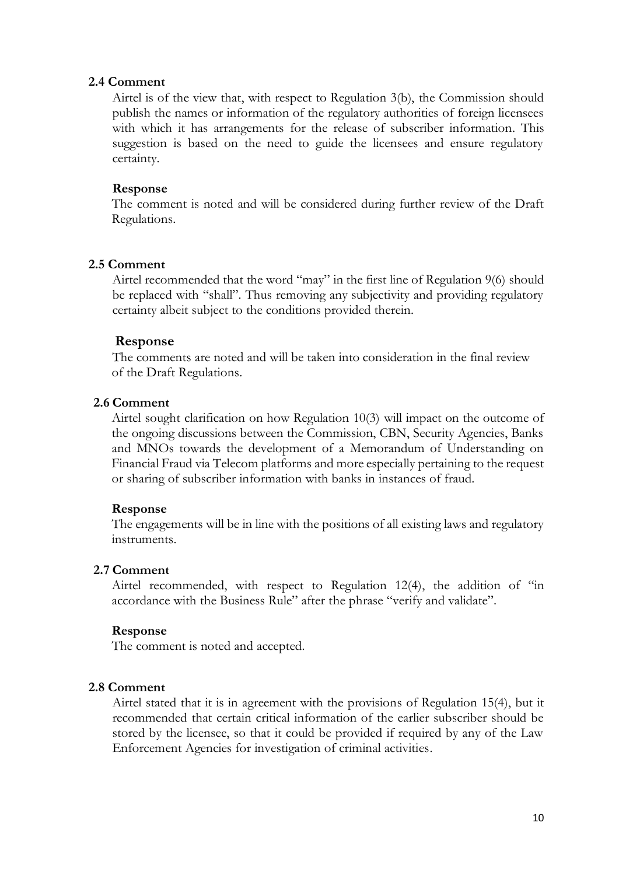#### **2.4 Comment**

Airtel is of the view that, with respect to Regulation 3(b), the Commission should publish the names or information of the regulatory authorities of foreign licensees with which it has arrangements for the release of subscriber information. This suggestion is based on the need to guide the licensees and ensure regulatory certainty.

#### **Response**

The comment is noted and will be considered during further review of the Draft Regulations.

#### **2.5 Comment**

Airtel recommended that the word "may" in the first line of Regulation 9(6) should be replaced with "shall". Thus removing any subjectivity and providing regulatory certainty albeit subject to the conditions provided therein.

#### **Response**

The comments are noted and will be taken into consideration in the final review of the Draft Regulations.

#### **2.6 Comment**

Airtel sought clarification on how Regulation 10(3) will impact on the outcome of the ongoing discussions between the Commission, CBN, Security Agencies, Banks and MNOs towards the development of a Memorandum of Understanding on Financial Fraud via Telecom platforms and more especially pertaining to the request or sharing of subscriber information with banks in instances of fraud.

#### **Response**

The engagements will be in line with the positions of all existing laws and regulatory instruments.

#### **2.7 Comment**

Airtel recommended, with respect to Regulation 12(4), the addition of "in accordance with the Business Rule" after the phrase "verify and validate".

#### **Response**

The comment is noted and accepted.

#### **2.8 Comment**

Airtel stated that it is in agreement with the provisions of Regulation 15(4), but it recommended that certain critical information of the earlier subscriber should be stored by the licensee, so that it could be provided if required by any of the Law Enforcement Agencies for investigation of criminal activities.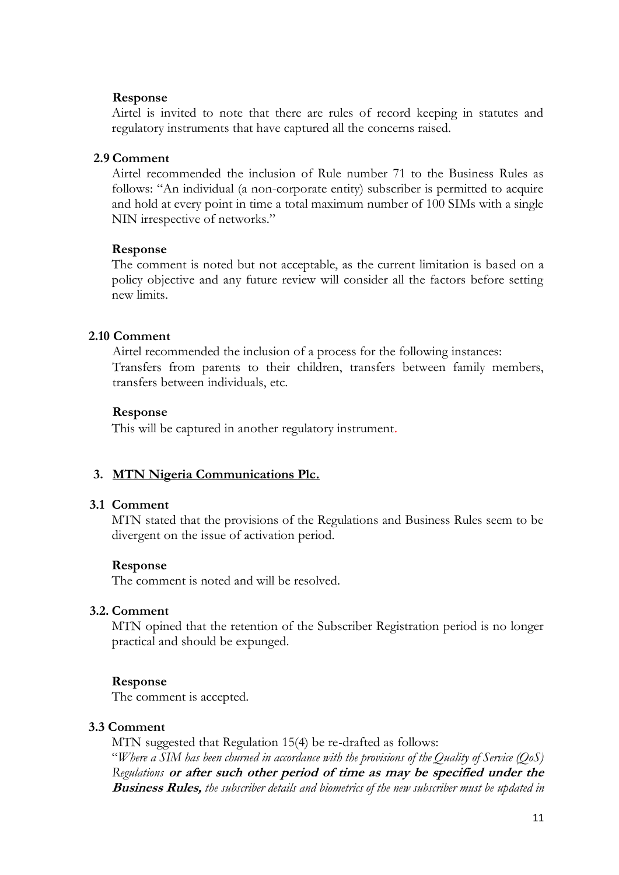Airtel is invited to note that there are rules of record keeping in statutes and regulatory instruments that have captured all the concerns raised.

### **2.9 Comment**

Airtel recommended the inclusion of Rule number 71 to the Business Rules as follows: "An individual (a non-corporate entity) subscriber is permitted to acquire and hold at every point in time a total maximum number of 100 SIMs with a single NIN irrespective of networks."

#### **Response**

The comment is noted but not acceptable, as the current limitation is based on a policy objective and any future review will consider all the factors before setting new limits.

### **2.10 Comment**

 Airtel recommended the inclusion of a process for the following instances: Transfers from parents to their children, transfers between family members, transfers between individuals, etc.

### **Response**

This will be captured in another regulatory instrument.

### **3. MTN Nigeria Communications Plc.**

### **3.1 Comment**

MTN stated that the provisions of the Regulations and Business Rules seem to be divergent on the issue of activation period.

### **Response**

The comment is noted and will be resolved.

### **3.2. Comment**

MTN opined that the retention of the Subscriber Registration period is no longer practical and should be expunged.

### **Response**

The comment is accepted.

### **3.3 Comment**

MTN suggested that Regulation 15(4) be re-drafted as follows: "*Where a SIM has been churned in accordance with the provisions of the Quality of Service (QoS) Regulations* **or after such other period of time as may be specified under the Business Rules,** *the subscriber details and biometrics of the new subscriber must be updated in*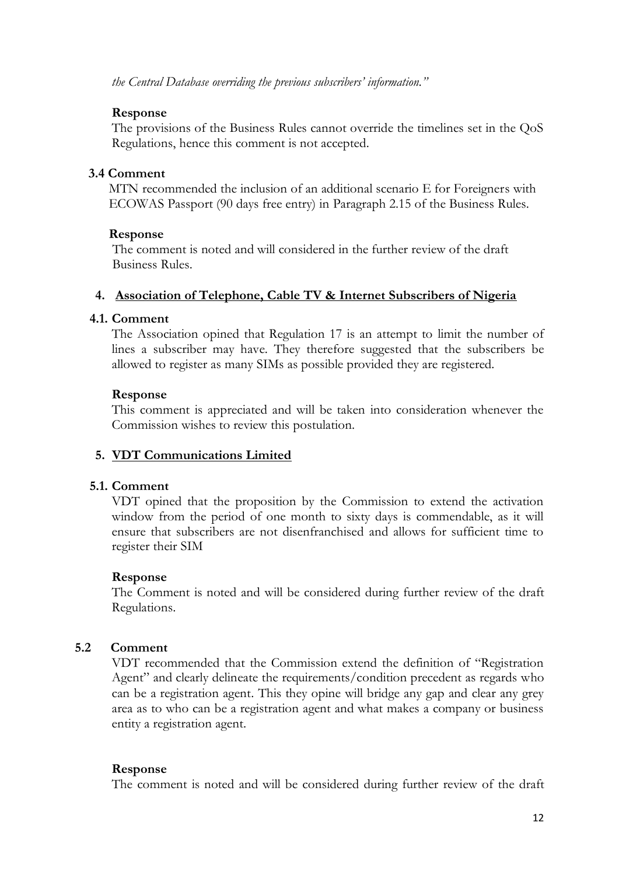*the Central Database overriding the previous subscribers' information."*

### **Response**

The provisions of the Business Rules cannot override the timelines set in the QoS Regulations, hence this comment is not accepted.

### **3.4 Comment**

 MTN recommended the inclusion of an additional scenario E for Foreigners with ECOWAS Passport (90 days free entry) in Paragraph 2.15 of the Business Rules.

### **Response**

The comment is noted and will considered in the further review of the draft Business Rules.

### **4. Association of Telephone, Cable TV & Internet Subscribers of Nigeria**

### **4.1. Comment**

The Association opined that Regulation 17 is an attempt to limit the number of lines a subscriber may have. They therefore suggested that the subscribers be allowed to register as many SIMs as possible provided they are registered.

### **Response**

This comment is appreciated and will be taken into consideration whenever the Commission wishes to review this postulation.

# **5. VDT Communications Limited**

# **5.1. Comment**

VDT opined that the proposition by the Commission to extend the activation window from the period of one month to sixty days is commendable, as it will ensure that subscribers are not disenfranchised and allows for sufficient time to register their SIM

### **Response**

The Comment is noted and will be considered during further review of the draft Regulations.

# **5.2 Comment**

VDT recommended that the Commission extend the definition of "Registration Agent" and clearly delineate the requirements/condition precedent as regards who can be a registration agent. This they opine will bridge any gap and clear any grey area as to who can be a registration agent and what makes a company or business entity a registration agent.

### **Response**

The comment is noted and will be considered during further review of the draft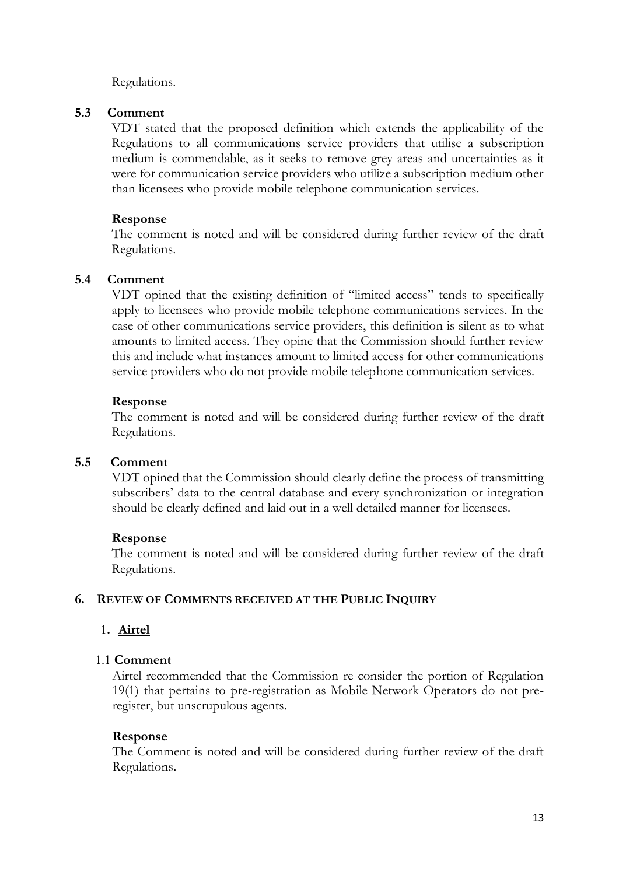Regulations.

### **5.3 Comment**

VDT stated that the proposed definition which extends the applicability of the Regulations to all communications service providers that utilise a subscription medium is commendable, as it seeks to remove grey areas and uncertainties as it were for communication service providers who utilize a subscription medium other than licensees who provide mobile telephone communication services.

### **Response**

The comment is noted and will be considered during further review of the draft Regulations.

### **5.4 Comment**

VDT opined that the existing definition of "limited access" tends to specifically apply to licensees who provide mobile telephone communications services. In the case of other communications service providers, this definition is silent as to what amounts to limited access. They opine that the Commission should further review this and include what instances amount to limited access for other communications service providers who do not provide mobile telephone communication services.

### **Response**

The comment is noted and will be considered during further review of the draft Regulations.

### **5.5 Comment**

VDT opined that the Commission should clearly define the process of transmitting subscribers' data to the central database and every synchronization or integration should be clearly defined and laid out in a well detailed manner for licensees.

### **Response**

The comment is noted and will be considered during further review of the draft Regulations.

### **6. REVIEW OF COMMENTS RECEIVED AT THE PUBLIC INQUIRY**

# 1**. Airtel**

### 1.1 **Comment**

Airtel recommended that the Commission re-consider the portion of Regulation 19(1) that pertains to pre-registration as Mobile Network Operators do not preregister, but unscrupulous agents.

### **Response**

The Comment is noted and will be considered during further review of the draft Regulations.